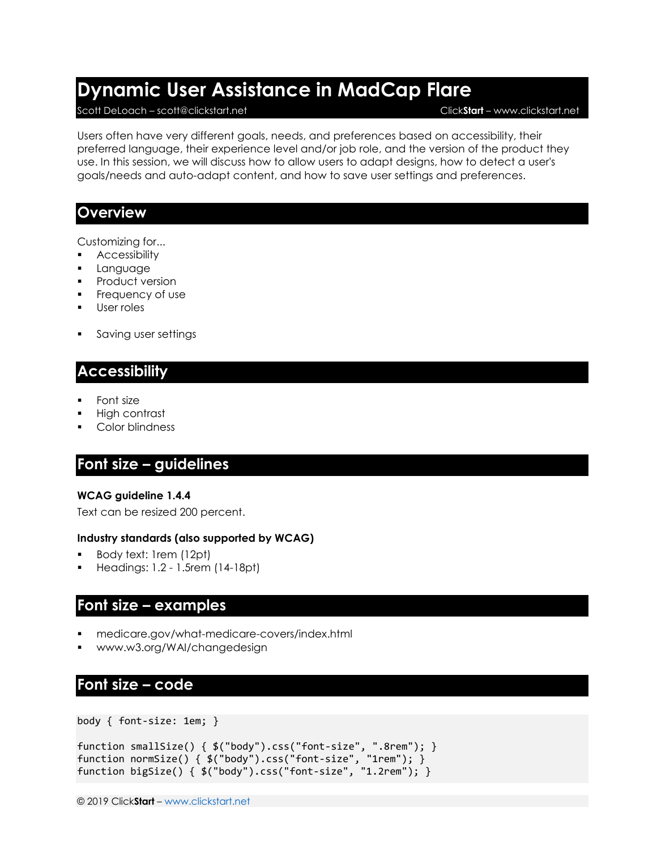# **Dynamic User Assistance in MadCap Flare**

#### Scott DeLoach – scott@clickstart.net Click**Start** – www.clickstart.net

Users often have very different goals, needs, and preferences based on accessibility, their preferred language, their experience level and/or job role, and the version of the product they use. In this session, we will discuss how to allow users to adapt designs, how to detect a user's goals/needs and auto-adapt content, and how to save user settings and preferences.

### **Overview**

Customizing for...

- **■** Accessibility
- Language
- **•** Product version
- Frequency of use
- User roles
- Saving user settings

### **Accessibility**

- **Font size**
- High contrast
- Color blindness

### **Font size – guidelines**

### **WCAG guideline 1.4.4**

Text can be resized 200 percent.

#### **Industry standards (also supported by WCAG)**

- Body text: 1rem (12pt)
- Headings: 1.2 1.5rem (14-18pt)

### **Font size – examples**

- <medicare.gov/what-medicare-covers/index.html>
- [www.w3.org/WAI/changedesign](http://www.w3.org/WAI/changedesign)

### **Font size – code**

body { font-size: 1em; }

```
function smallSize() { $("body").css("font-size", ".8rem"); }
function normSize() { $("body").css("font-size", "1rem"); }
function bigSize() { $("body").css("font-size", "1.2rem"); }
```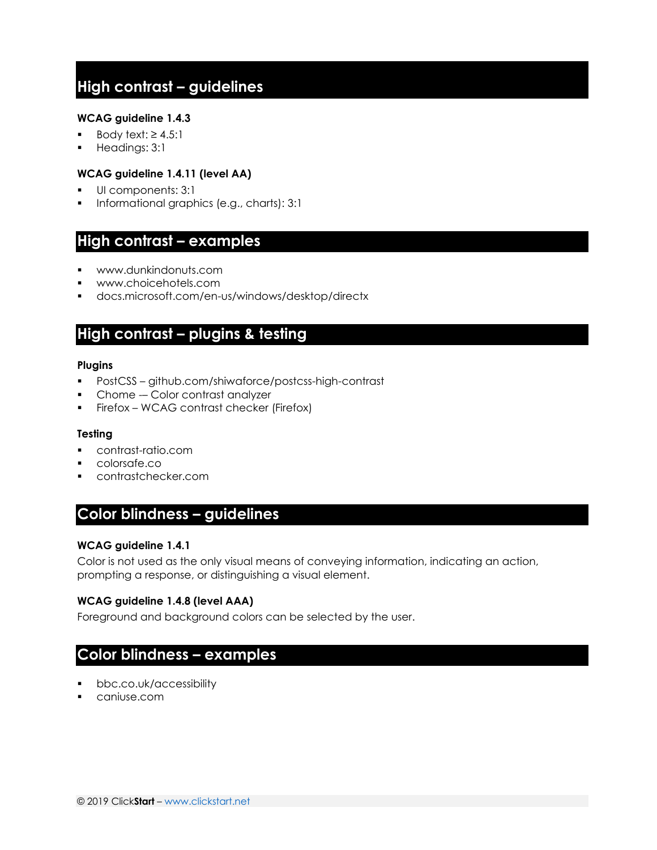## **High contrast – guidelines**

#### **WCAG guideline 1.4.3**

- Body text:  $≥ 4.5:1$
- Headings: 3:1

#### **WCAG guideline 1.4.11 (level AA)**

- UI components: 3:1
- Informational graphics (e.g., charts): 3:1

### **High contrast – examples**

- [www.dunkindonuts.com](http://www.dunkindonuts.com/)
- [www.choicehotels.com](http://www.choicehotels.com/)
- [docs.microsoft.com/en-us/windows/desktop/directx](http://docs.microsoft.com/en-us/windows/desktop/directx)

### **High contrast – plugins & testing**

#### **Plugins**

- PostCSS [github.com/shiwaforce/postcss-high-contrast](https://github.com/shiwaforce/postcss-high-contrast)
- Chome Color contrast analyzer
- **•** Firefox WCAG contrast checker (Firefox)

#### **Testing**

- [contrast-ratio.com](https://contrast-ratio.com/)
- [colorsafe.co](http://colorsafe.co/)
- [contrastchecker.com](http://contrastchecker.com/)

### **Color blindness – guidelines**

#### **WCAG guideline 1.4.1**

Color is not used as the only visual means of conveying information, indicating an action, prompting a response, or distinguishing a visual element.

#### **WCAG guideline 1.4.8 (level AAA)**

Foreground and background colors can be selected by the user.

### **Color blindness – examples**

- [bbc.co.uk/accessibility](http://www.bbc.co.uk/accessibility)
- [caniuse.com](https://caniuse.com/)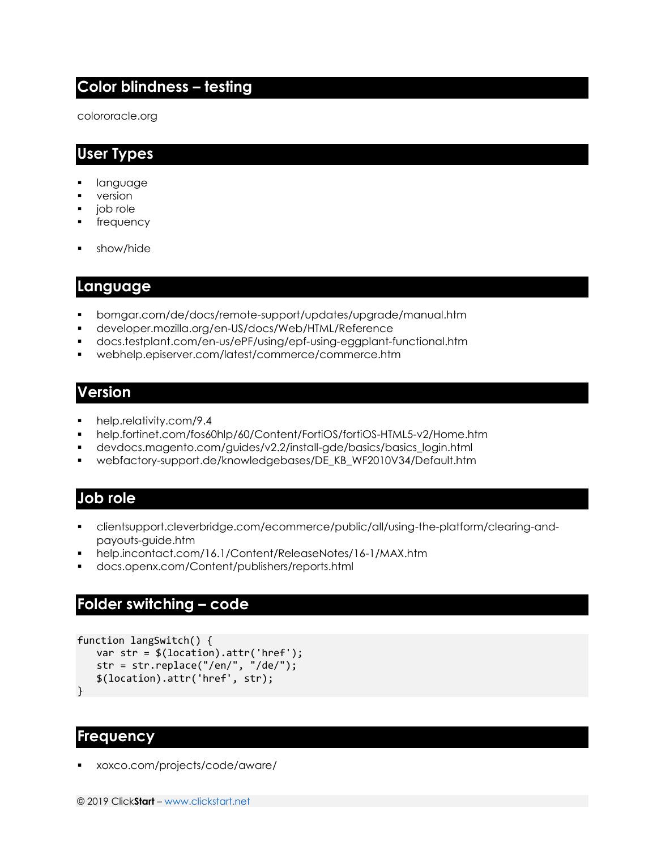### **Color blindness – testing**

[colororacle.org](http://www.colororacle.org/)

### **User Types**

- language
- version
- job role
- frequency
- show/hide

### **Language**

- [bomgar.com/de/docs/remote-support/updates/upgrade/manual.htm](https://www.bomgar.com/de/docs/remote-support/updates/upgrade/manual.htm)
- [developer.mozilla.org/en-US/docs/Web/HTML/Reference](https://developer.mozilla.org/en-US/docs/Web/HTML/Reference)
- [docs.testplant.com/en-us/ePF/using/epf-using-eggplant-functional.htm](http://docs.testplant.com/en-us/ePF/using/epf-using-eggplant-functional.htm)
- [webhelp.episerver.com/latest/commerce/commerce.htm](https://webhelp.episerver.com/latest/commerce/commerce.htm)

### **Version**

- [help.relativity.com/9.4](http://help.relativity.com/9.4)
- [help.fortinet.com/fos60hlp/60/Content/FortiOS/fortiOS-HTML5-v2/Home.htm](http://help.fortinet.com/fos60hlp/60/Content/FortiOS/fortiOS-HTML5-v2/Home.htm)
- [devdocs.magento.com/guides/v2.2/install-gde/basics/basics\\_login.html](http://devdocs.magento.com/guides/v2.2/install-gde/basics/basics_login.html)
- [webfactory-support.de/knowledgebases/DE\\_KB\\_WF2010V34/Default.htm](http://webfactory-support.de/knowledgebases/DE_KB_WF2010V34/Default.htm)

### **Job role**

- [clientsupport.cleverbridge.com/ecommerce/public/all/using-the-platform/clearing-and](https://clientsupport.cleverbridge.com/ecommerce/public/all/using-the-platform/clearing-and-payouts-guide.htm)[payouts-guide.htm](https://clientsupport.cleverbridge.com/ecommerce/public/all/using-the-platform/clearing-and-payouts-guide.htm)
- [help.incontact.com/16.1/Content/ReleaseNotes/16-1/MAX.htm](http://help.incontact.com/16.1/Content/ReleaseNotes/16-1/MAX.htm)
- [docs.openx.com/Content/publishers/reports.html](https://docs.openx.com/Content/publishers/reports.html)

### **Folder switching – code**

```
function langSwitch() {
   var str = $(location).attr('href');
   str = str.replace("/en/", "/de/");
   $(location).attr('href', str);
}
```
### **Frequency**

▪ [xoxco.com/projects/code/aware/](http://www.xoxco.com/projects/code/aware/)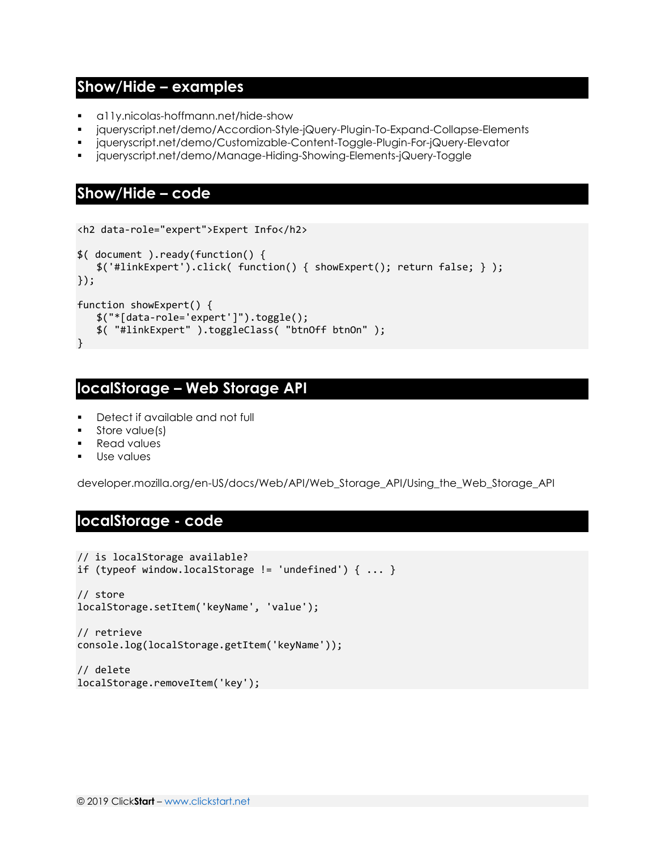### **Show/Hide – examples**

- [a11y.nicolas-hoffmann.net/hide-show](https://a11y.nicolas-hoffmann.net/hide-show)
- [jqueryscript.net/demo/Accordion-Style-jQuery-Plugin-To-Expand-Collapse-Elements](https://www.jqueryscript.net/demo/Accordion-Style-jQuery-Plugin-To-Expand-Collapse-Elements)
- [jqueryscript.net/demo/Customizable-Content-Toggle-Plugin-For-jQuery-Elevator](https://www.jqueryscript.net/demo/Customizable-Content-Toggle-Plugin-For-jQuery-Elevator)
- [jqueryscript.net/demo/Manage-Hiding-Showing-Elements-jQuery-Toggle](https://www.jqueryscript.net/demo/Manage-Hiding-Showing-Elements-jQuery-Toggle)

### **Show/Hide – code**

```
<h2 data-role="expert">Expert Info</h2>
$( document ).ready(function() {
   $('#linkExpert').click( function() { showExpert(); return false; } );
});
function showExpert() {
   $("*[data-role='expert']").toggle();
   $( "#linkExpert" ).toggleClass( "btnOff btnOn" );
}
```
### **localStorage – Web Storage API**

- Detect if available and not full
- Store value(s)
- Read values
- Use values

[developer.mozilla.org/en-US/docs/Web/API/Web\\_Storage\\_API/Using\\_the\\_Web\\_Storage\\_API](http://developer.mozilla.org/en-US/docs/Web/API/Web_Storage_API/Using_the_Web_Storage_API)

### **localStorage - code**

```
// is localStorage available? 
if (typeof window.localStorage != 'undefined') \{ \ldots \}// store 
localStorage.setItem('keyName', 'value'); 
// retrieve 
console.log(localStorage.getItem('keyName')); 
// delete 
localStorage.removeItem('key');
```